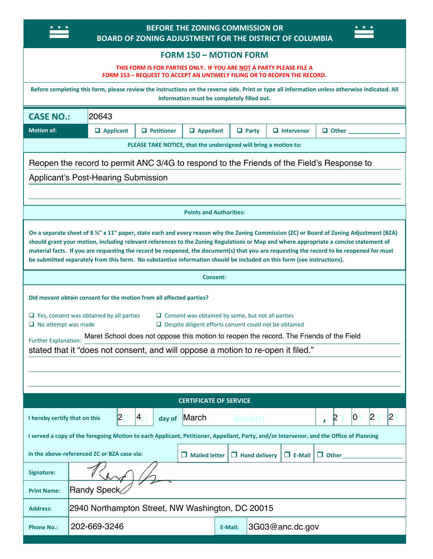### **BEFORE THE ZONING COMMISSION OR BOARD OF ZONING ADJUSTMENT FOR THE DISTRICT OF COLUMBIA**

<span id="page-0-1"></span> $\star \star \star$ 

### <span id="page-0-11"></span><span id="page-0-5"></span>**FORM 150 – MOTION FORM**

# <span id="page-0-14"></span>**THIS FORM IS FOR PARTIES ONLY. IF YOU ARE NOT A PARTY PLEASE FILE A**

<span id="page-0-12"></span><span id="page-0-10"></span><span id="page-0-4"></span>**FORM 153 – REQUEST TO ACCEPT AN UNTIMELY FILING OR TO REOPEN THE RECORD.**

<span id="page-0-13"></span><span id="page-0-9"></span><span id="page-0-8"></span><span id="page-0-7"></span><span id="page-0-6"></span><span id="page-0-3"></span><span id="page-0-2"></span><span id="page-0-0"></span>

| Before completing this form, please review the instructions on the reverse side. Print or type all information unless otherwise indicated. All<br>information must be completely filled out.                                                                                                                                                                                                                                                                                                                                                           |                                                  |                   |                      |   |                      |                       |                                        |  |  |
|--------------------------------------------------------------------------------------------------------------------------------------------------------------------------------------------------------------------------------------------------------------------------------------------------------------------------------------------------------------------------------------------------------------------------------------------------------------------------------------------------------------------------------------------------------|--------------------------------------------------|-------------------|----------------------|---|----------------------|-----------------------|----------------------------------------|--|--|
| <b>CASE NO.:</b><br>20643                                                                                                                                                                                                                                                                                                                                                                                                                                                                                                                              |                                                  |                   |                      |   |                      |                       |                                        |  |  |
| <b>Motion of:</b>                                                                                                                                                                                                                                                                                                                                                                                                                                                                                                                                      | <b>Applicant</b>                                 | <b>Petitioner</b> | <b>Appellant</b>     | V | Party                | <b>Intervenor</b>     | Other                                  |  |  |
| PLEASE TAKE NOTICE, that the undersigned will bring a motion to:                                                                                                                                                                                                                                                                                                                                                                                                                                                                                       |                                                  |                   |                      |   |                      |                       |                                        |  |  |
| Reopen the record to permit ANC 3/4G to respond to the Friends of the Field's Response to                                                                                                                                                                                                                                                                                                                                                                                                                                                              |                                                  |                   |                      |   |                      |                       |                                        |  |  |
| <b>Applicant's Post-Hearing Submission</b>                                                                                                                                                                                                                                                                                                                                                                                                                                                                                                             |                                                  |                   |                      |   |                      |                       |                                        |  |  |
|                                                                                                                                                                                                                                                                                                                                                                                                                                                                                                                                                        |                                                  |                   |                      |   |                      |                       |                                        |  |  |
| <b>Points and Authorities:</b>                                                                                                                                                                                                                                                                                                                                                                                                                                                                                                                         |                                                  |                   |                      |   |                      |                       |                                        |  |  |
| On a separate sheet of 8 %" x 11" paper, state each and every reason why the Zoning Commission (ZC) or Board of Zoning Adjustment (BZA)<br>should grant your motion, including relevant references to the Zoning Regulations or Map and where appropriate a concise statement of<br>material facts. If you are requesting the record be reopened, the document(s) that you are requesting the record to be reopened for must<br>be submitted separately from this form. No substantive information should be included on this form (see instructions). |                                                  |                   |                      |   |                      |                       |                                        |  |  |
| Consent:                                                                                                                                                                                                                                                                                                                                                                                                                                                                                                                                               |                                                  |                   |                      |   |                      |                       |                                        |  |  |
| Did movant obtain consent for the motion from all affected parties?                                                                                                                                                                                                                                                                                                                                                                                                                                                                                    |                                                  |                   |                      |   |                      |                       |                                        |  |  |
| $\Box$ Yes, consent was obtained by all parties<br>Consent was obtained by some, but not all parties<br>$\Box$ No attempt was made<br>$\Box$ Despite diligent efforts consent could not be obtained                                                                                                                                                                                                                                                                                                                                                    |                                                  |                   |                      |   |                      |                       |                                        |  |  |
| Maret School does not oppose this motion to reopen the record. The Friends of the Field<br>Further Explanation:                                                                                                                                                                                                                                                                                                                                                                                                                                        |                                                  |                   |                      |   |                      |                       |                                        |  |  |
| stated that it "does not consent, and will oppose a motion to re-open it filed."                                                                                                                                                                                                                                                                                                                                                                                                                                                                       |                                                  |                   |                      |   |                      |                       |                                        |  |  |
|                                                                                                                                                                                                                                                                                                                                                                                                                                                                                                                                                        |                                                  |                   |                      |   |                      |                       |                                        |  |  |
|                                                                                                                                                                                                                                                                                                                                                                                                                                                                                                                                                        |                                                  |                   |                      |   |                      |                       |                                        |  |  |
| <b>CERTIFICATE OF SERVICE</b>                                                                                                                                                                                                                                                                                                                                                                                                                                                                                                                          |                                                  |                   |                      |   |                      |                       |                                        |  |  |
| I hereby certify that on this                                                                                                                                                                                                                                                                                                                                                                                                                                                                                                                          | 2                                                | 4 <br>day of      | March                |   | <b>Month</b>         |                       | 2<br>$\boldsymbol{2}$<br> 0 <br>p<br>, |  |  |
| I served a copy of the foregoing Motion to each Applicant, Petitioner, Appellant, Party, and/or Intervenor, and the Office of Planning                                                                                                                                                                                                                                                                                                                                                                                                                 |                                                  |                   |                      |   |                      |                       |                                        |  |  |
|                                                                                                                                                                                                                                                                                                                                                                                                                                                                                                                                                        | in the above-referenced ZC or BZA case via:      |                   | $\Box$ Mailed letter |   | $\Box$ Hand delivery | $\blacksquare$ E-Mail | $\Box$ Other                           |  |  |
| Signature:                                                                                                                                                                                                                                                                                                                                                                                                                                                                                                                                             |                                                  |                   |                      |   |                      |                       |                                        |  |  |
| <b>Print Name:</b>                                                                                                                                                                                                                                                                                                                                                                                                                                                                                                                                     | Randy Speck                                      |                   |                      |   |                      |                       |                                        |  |  |
| <b>Address:</b>                                                                                                                                                                                                                                                                                                                                                                                                                                                                                                                                        | 2940 Northampton Street, NW Washington, DC 20015 |                   |                      |   |                      |                       |                                        |  |  |
| <b>Phone No.:</b>                                                                                                                                                                                                                                                                                                                                                                                                                                                                                                                                      | 202-669-3246<br>3G03@anc.dc.gov<br>E-Mail:       |                   |                      |   |                      |                       |                                        |  |  |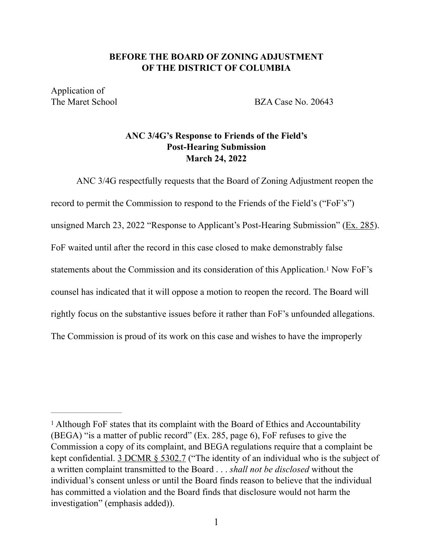## **BEFORE THE BOARD OF ZONING ADJUSTMENT OF THE DISTRICT OF COLUMBIA**

Application of

The Maret School BZA Case No. 20643

# **ANC 3/4G's Response to Friends of the Field's Post-Hearing Submission March 24, 2022**

ANC 3/4G respectfully requests that the Board of Zoning Adjustment reopen the record to permit the Commission to respond to the Friends of the Field's ("FoF's") unsigned March 23, 2022 "Response to Applicant's Post-Hearing Submission" ([Ex. 285](https://app.dcoz.dc.gov/Exhibits/2010/BZA/20643/Exhibit344.pdf)). FoF waited until after the record in this case closed to make demonstrably false statements about the Commission and its consideration of this Application.<sup>[1](#page-0-0)</sup> Now FoF's counsel has indicated that it will oppose a motion to reopen the record. The Board will rightly focus on the substantive issues before it rather than FoF's unfounded allegations. The Commission is proud of its work on this case and wishes to have the improperly

<sup>&</sup>lt;sup>[1](#page-0-1)</sup> Although FoF states that its complaint with the Board of Ethics and Accountability (BEGA) "is a matter of public record" (Ex. 285, page 6), FoF refuses to give the Commission a copy of its complaint, and BEGA regulations require that a complaint be kept confidential. [3 DCMR § 5302.7](http://dcrules.elaws.us/dcmr/3-5302) ("The identity of an individual who is the subject of a written complaint transmitted to the Board . . . *shall not be disclosed* without the individual's consent unless or until the Board finds reason to believe that the individual has committed a violation and the Board finds that disclosure would not harm the investigation" (emphasis added)).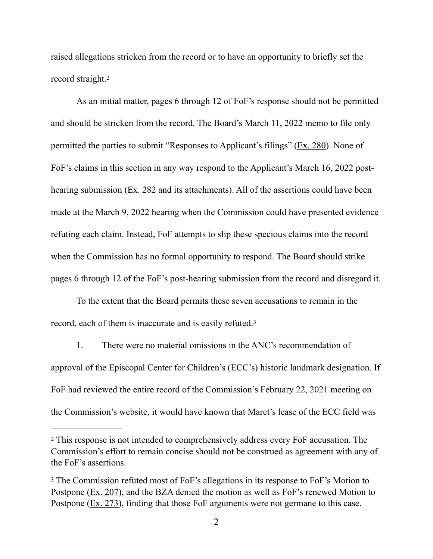raised allegations stricken from the record or to have an opportunity to briefly set the record straight.[2](#page-0-2)

As an initial matter, pages 6 through 12 of FoF's response should not be permitted and should be stricken from the record. The Board's March 11, 2022 memo to file only permitted the parties to submit "Responses to Applicant's filings" [\(Ex. 280\)](https://app.dcoz.dc.gov/Exhibits/2010/BZA/20643/Exhibit333.pdf). None of FoF's claims in this section in any way respond to the Applicant's March 16, 2022 post-hearing submission [\(Ex. 282](https://app.dcoz.dc.gov/Exhibits/2010/BZA/20643/Exhibit335.pdf) and its attachments). All of the assertions could have been made at the March 9, 2022 hearing when the Commission could have presented evidence refuting each claim. Instead, FoF attempts to slip these specious claims into the record when the Commission has no formal opportunity to respond. The Board should strike pages 6 through 12 of the FoF's post-hearing submission from the record and disregard it.

To the extent that the Board permits these seven accusations to remain in the record, each of them is inaccurate and is easily refuted[.3](#page-0-3)

1. There were no material omissions in the ANC's recommendation of approval of the Episcopal Center for Children's (ECC's) historic landmark designation. If FoF had reviewed the entire record of the Commission's February 22, 2021 meeting on the Commission's website, it would have known that Maret's lease of the ECC field was

This response is not intended to comprehensively address every FoF accusation. The [2](#page-0-4) Commission's effort to remain concise should not be construed as agreement with any of the FoF's assertions.

<sup>&</sup>lt;sup>[3](#page-0-5)</sup> The Commission refuted most of FoF's allegations in its response to FoF's Motion to Postpone [\(Ex. 207\)](https://app.dcoz.dc.gov/Exhibits/2010/BZA/20643/Exhibit250.pdf), and the BZA denied the motion as well as FoF's renewed Motion to Postpone [\(Ex. 273\)](https://app.dcoz.dc.gov/Exhibits/2010/BZA/20643/Exhibit325.pdf), finding that those FoF arguments were not germane to this case.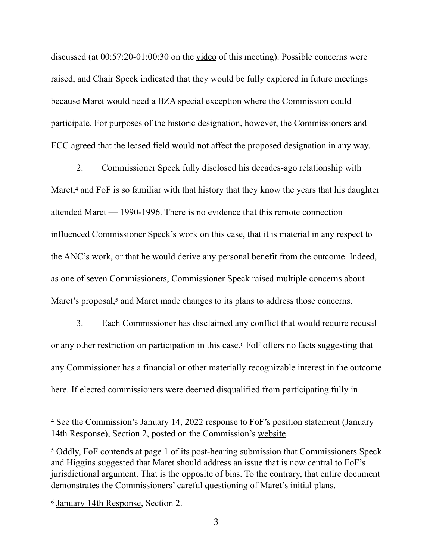discussed (at  $0.57:20-01:00:30$  on the <u>video</u> of this meeting). Possible concerns were raised, and Chair Speck indicated that they would be fully explored in future meetings because Maret would need a BZA special exception where the Commission could participate. For purposes of the historic designation, however, the Commissioners and ECC agreed that the leased field would not affect the proposed designation in any way.

2. Commissioner Speck fully disclosed his decades-ago relationship with Maret, $4$  and FoF is so familiar with that history that they know the years that his daughter attended Maret — 1990-1996. There is no evidence that this remote connection influenced Commissioner Speck's work on this case, that it is material in any respect to the ANC's work, or that he would derive any personal benefit from the outcome. Indeed, as one of seven Commissioners, Commissioner Speck raised multiple concerns about Maret's proposal,<sup>5</sup> and Maret made changes to its plans to address those concerns.

3. Each Commissioner has disclaimed any conflict that would require recusal or any other restriction on participation in this case.<sup>[6](#page-0-8)</sup> FoF offers no facts suggesting that any Commissioner has a financial or other materially recognizable interest in the outcome here. If elected commissioners were deemed disqualified from participating fully in

<sup>&</sup>lt;sup>[4](#page-0-9)</sup> See the Commission's January 14, 2022 response to FoF's position statement (January 14th Response), Section 2, posted on the Commission's [website](https://anc3g.org/wp-content/uploads/2022/01/ANC-34G_Disclosure-Statement-re-Maret-ECC-BZA-Application_1-14-22_posted.docx).

<sup>&</sup>lt;sup>[5](#page-0-10)</sup> Oddly, FoF contends at page 1 of its post-hearing submission that Commissioners Speck and Higgins suggested that Maret should address an issue that is now central to FoF's jurisdictional argument. That is the opposite of bias. To the contrary, that entire [document](https://anc3g.org/wp-content/uploads/2022/02/Maret-BZA-Statement-in-Support-of-Athletics-Field-Use-10.15.21-ANC-Comments-10-24-21.pdf) demonstrates the Commissioners' careful questioning of Maret's initial plans.

<sup>&</sup>lt;sup>6</sup> [January 14th Response](https://anc3g.org/wp-content/uploads/2022/01/ANC-34G_Disclosure-Statement-re-Maret-ECC-BZA-Application_1-14-22_posted.docx), Section 2.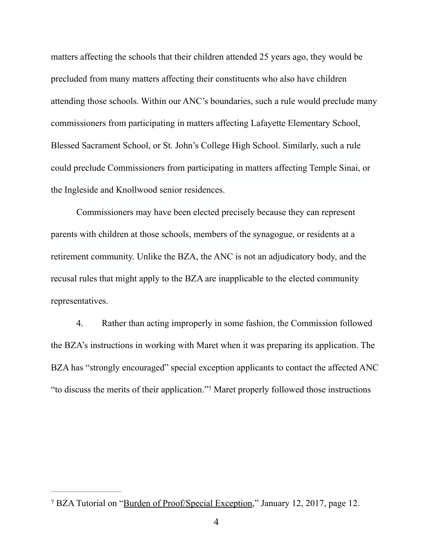matters affecting the schools that their children attended 25 years ago, they would be precluded from many matters affecting their constituents who also have children attending those schools. Within our ANC's boundaries, such a rule would preclude many commissioners from participating in matters affecting Lafayette Elementary School, Blessed Sacrament School, or St. John's College High School. Similarly, such a rule could preclude Commissioners from participating in matters affecting Temple Sinai, or the Ingleside and Knollwood senior residences.

Commissioners may have been elected precisely because they can represent parents with children at those schools, members of the synagogue, or residents at a retirement community. Unlike the BZA, the ANC is not an adjudicatory body, and the recusal rules that might apply to the BZA are inapplicable to the elected community representatives.

4. Rather than acting improperly in some fashion, the Commission followed the BZA's instructions in working with Maret when it was preparing its application. The BZA has "strongly encouraged" special exception applicants to contact the affected ANC "to discuss the merits of their application."<sup>[7](#page-0-8)</sup> Maret properly followed those instructions

<sup>&</sup>lt;sup>7</sup> BZA Tutorial on "[Burden of Proof/Special Exception,](https://dcoz.dc.gov/sites/default/files/dc/sites/dcoz/publication/attachments/BurdenofProof_SpecialException.pdf)" January 12, 201[7](#page-0-12), page 12.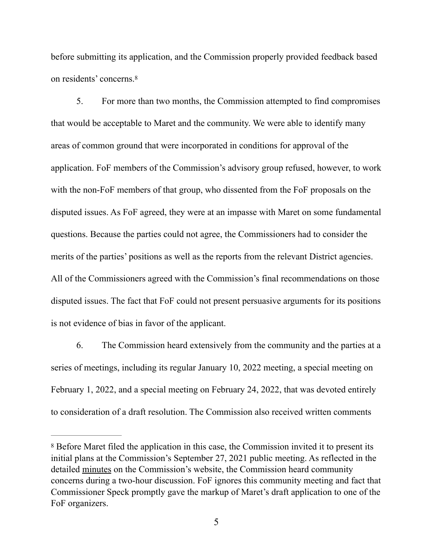before submitting its application, and the Commission properly provided feedback based on residents' concerns.[8](#page-0-13)

5. For more than two months, the Commission attempted to find compromises that would be acceptable to Maret and the community. We were able to identify many areas of common ground that were incorporated in conditions for approval of the application. FoF members of the Commission's advisory group refused, however, to work with the non-FoF members of that group, who dissented from the FoF proposals on the disputed issues. As FoF agreed, they were at an impasse with Maret on some fundamental questions. Because the parties could not agree, the Commissioners had to consider the merits of the parties' positions as well as the reports from the relevant District agencies. All of the Commissioners agreed with the Commission's final recommendations on those disputed issues. The fact that FoF could not present persuasive arguments for its positions is not evidence of bias in favor of the applicant.

6. The Commission heard extensively from the community and the parties at a series of meetings, including its regular January 10, 2022 meeting, a special meeting on February 1, 2022, and a special meeting on February 24, 2022, that was devoted entirely to consideration of a draft resolution. The Commission also received written comments

[<sup>8</sup>](#page-0-14) Before Maret filed the application in this case, the Commission invited it to present its initial plans at the Commission's September 27, 2021 public meeting. As reflected in the detailed [minutes](https://anc3g.org/wp-content/uploads/2021/11/ANC-34G-minutes-Sept-27-2021-FINAL.pdf) on the Commission's website, the Commission heard community concerns during a two-hour discussion. FoF ignores this community meeting and fact that Commissioner Speck promptly gave the markup of Maret's draft application to one of the FoF organizers.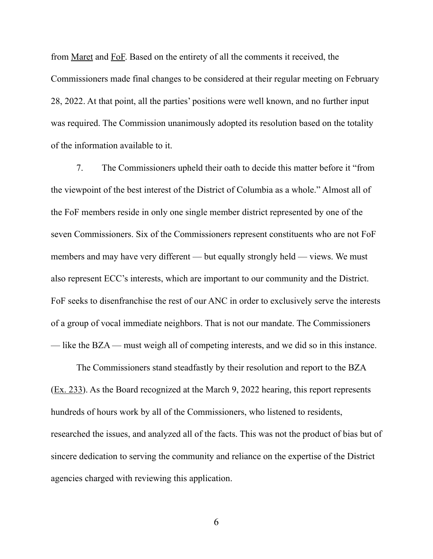from [Maret](https://anc3g.org/wp-content/uploads/2022/02/BZA-Application-No.-20643-Applicants-Response-to-ANC-Proposed-Conditions-of-Approval-4889-6218-4208-v.1.pdf) and [FoF.](https://anc3g.org/wp-content/uploads/2022/02/20220224-FOF-Submission.pdf) Based on the entirety of all the comments it received, the Commissioners made final changes to be considered at their regular meeting on February 28, 2022. At that point, all the parties' positions were well known, and no further input was required. The Commission unanimously adopted its resolution based on the totality of the information available to it.

7. The Commissioners upheld their oath to decide this matter before it "from the viewpoint of the best interest of the District of Columbia as a whole." Almost all of the FoF members reside in only one single member district represented by one of the seven Commissioners. Six of the Commissioners represent constituents who are not FoF members and may have very different — but equally strongly held — views. We must also represent ECC's interests, which are important to our community and the District. FoF seeks to disenfranchise the rest of our ANC in order to exclusively serve the interests of a group of vocal immediate neighbors. That is not our mandate. The Commissioners — like the BZA — must weigh all of competing interests, and we did so in this instance.

The Commissioners stand steadfastly by their resolution and report to the BZA [\(Ex. 233\)](http://www.apple.com). As the Board recognized at the March 9, 2022 hearing, this report represents hundreds of hours work by all of the Commissioners, who listened to residents, researched the issues, and analyzed all of the facts. This was not the product of bias but of sincere dedication to serving the community and reliance on the expertise of the District agencies charged with reviewing this application.

6